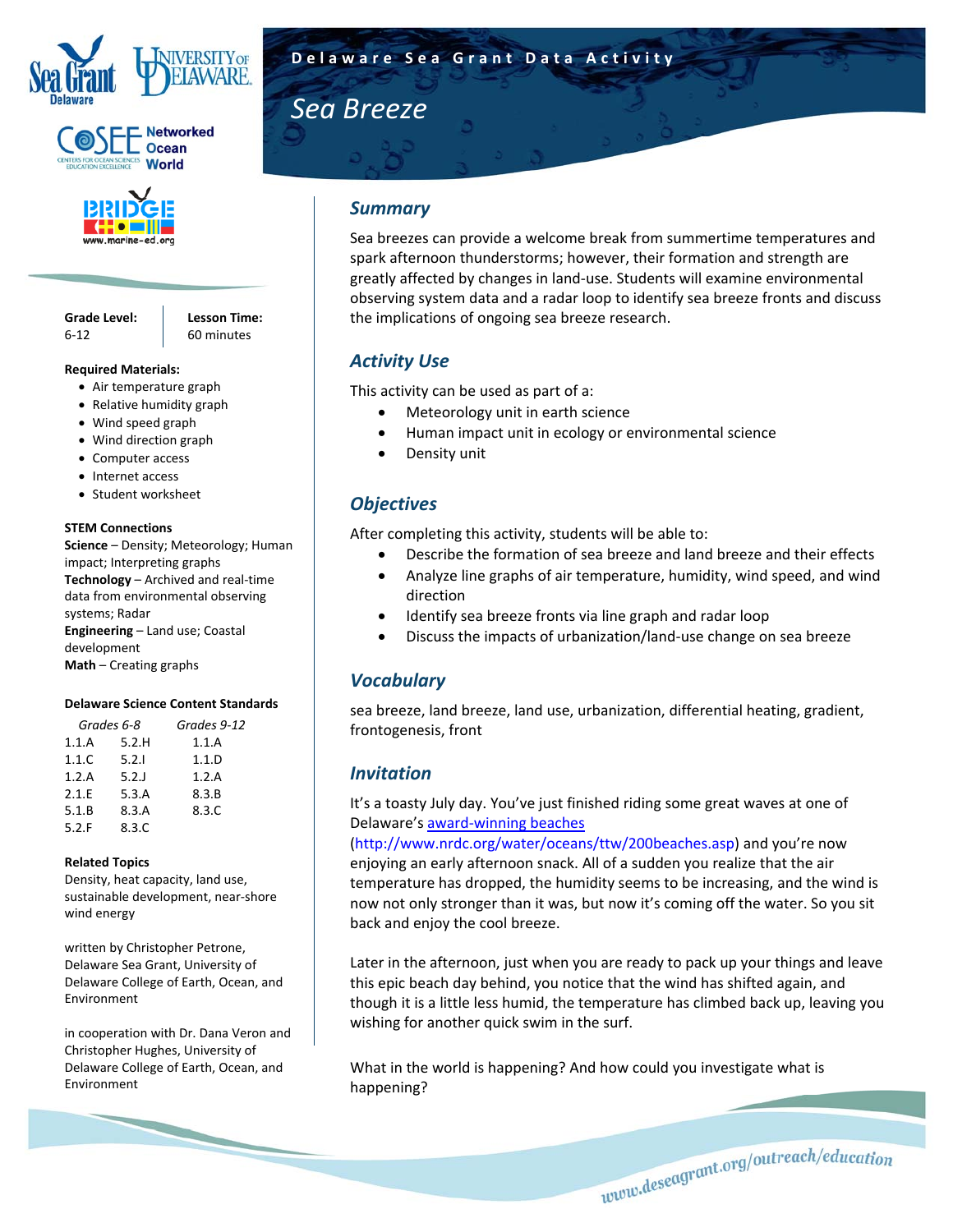





**Grade Level:** 6‐12

**Lesson Time:**  60 minutes

#### **Required Materials:**

- Air temperature graph
- Relative humidity graph
- Wind speed graph
- Wind direction graph
- Computer access
- Internet access
- Student worksheet

#### **STEM Connections**

**Science** – Density; Meteorology; Human impact; Interpreting graphs **Technology** – Archived and real‐time data from environmental observing systems; Radar **Engineering** – Land use; Coastal development **Math** – Creating graphs

#### **Delaware Science Content Standards**

|       | Grades 6-8 | Grades 9-12 |  |  |  |  |
|-------|------------|-------------|--|--|--|--|
| 1.1.A | 5.2.H      | 1.1.A       |  |  |  |  |
| 1.1.C | 5.2.1      | 1.1.D       |  |  |  |  |
| 1.2.A | $5.2$ .    | 1.2.A       |  |  |  |  |
| 2.1.E | 5.3.A      | 8.3.B       |  |  |  |  |
| 5.1.B | 8.3.A      | 8.3.C       |  |  |  |  |
| 5.2.F | 8.3.C      |             |  |  |  |  |
|       |            |             |  |  |  |  |

#### **Related Topics**

Density, heat capacity, land use, sustainable development, near‐shore wind energy

written by Christopher Petrone, Delaware Sea Grant, University of Delaware College of Earth, Ocean, and Environment

in cooperation with Dr. Dana Veron and Christopher Hughes, University of Delaware College of Earth, Ocean, and Environment

# **Sea Breeze**

## *Summary*

Sea breezes can provide a welcome break from summertime temperatures and spark afternoon thunderstorms; however, their formation and strength are greatly affected by changes in land‐use. Students will examine environmental observing system data and a radar loop to identify sea breeze fronts and discuss the implications of ongoing sea breeze research.

## *Activity Use*

This activity can be used as part of a:

- Meteorology unit in earth science
- Human impact unit in ecology or environmental science
- Density unit

## *Objectives*

After completing this activity, students will be able to:

- Describe the formation of sea breeze and land breeze and their effects
- Analyze line graphs of air temperature, humidity, wind speed, and wind direction
- Identify sea breeze fronts via line graph and radar loop
- Discuss the impacts of urbanization/land‐use change on sea breeze

## *Vocabulary*

sea breeze, land breeze, land use, urbanization, differential heating, gradient, frontogenesis, front

## *Invitation*

It's a toasty July day. You've just finished riding some great waves at one of Delaware's award‐winning beaches

(http://www.nrdc.org/water/oceans/ttw/200beaches.asp) and you're now enjoying an early afternoon snack. All of a sudden you realize that the air temperature has dropped, the humidity seems to be increasing, and the wind is now not only stronger than it was, but now it's coming off the water. So you sit back and enjoy the cool breeze.

Later in the afternoon, just when you are ready to pack up your things and leave this epic beach day behind, you notice that the wind has shifted again, and though it is a little less humid, the temperature has climbed back up, leaving you wishing for another quick swim in the surf.

What in the world is happening? And how could you investigate what is happening?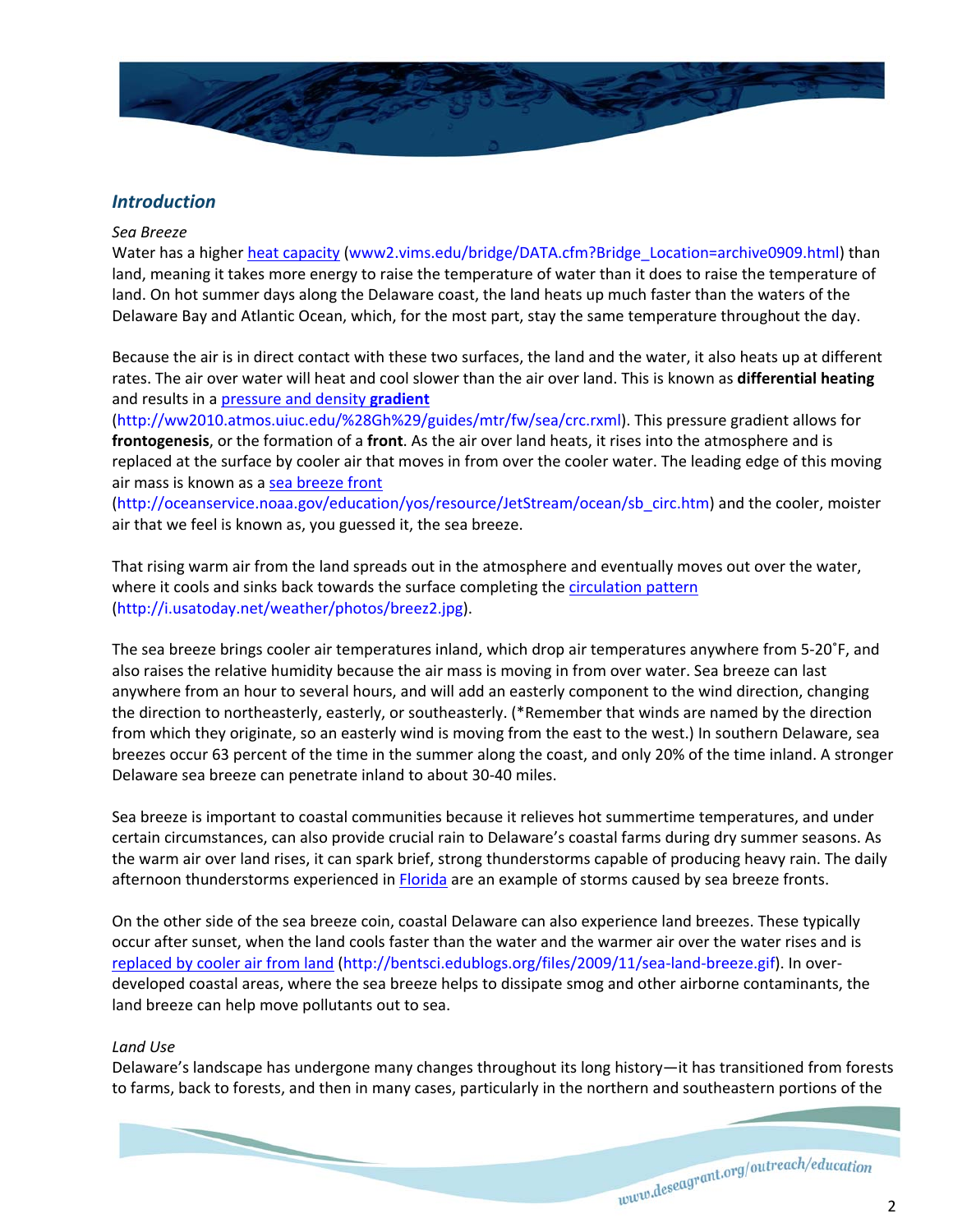

## *Introduction*

#### *Sea Breeze*

Water has a higher heat capacity (www2.vims.edu/bridge/DATA.cfm?Bridge\_Location=archive0909.html) than land, meaning it takes more energy to raise the temperature of water than it does to raise the temperature of land. On hot summer days along the Delaware coast, the land heats up much faster than the waters of the Delaware Bay and Atlantic Ocean, which, for the most part, stay the same temperature throughout the day.

Because the air is in direct contact with these two surfaces, the land and the water, it also heats up at different rates. The air over water will heat and cool slower than the air over land. This is known as **differential heating** and results in a pressure and density **gradient**

(http://ww2010.atmos.uiuc.edu/%28Gh%29/guides/mtr/fw/sea/crc.rxml). This pressure gradient allows for **frontogenesis**, or the formation of a **front**. As the air over land heats, it rises into the atmosphere and is replaced at the surface by cooler air that moves in from over the cooler water. The leading edge of this moving air mass is known as a sea breeze front

(http://oceanservice.noaa.gov/education/yos/resource/JetStream/ocean/sb\_circ.htm) and the cooler, moister air that we feel is known as, you guessed it, the sea breeze.

That rising warm air from the land spreads out in the atmosphere and eventually moves out over the water, where it cools and sinks back towards the surface completing the circulation pattern (http://i.usatoday.net/weather/photos/breez2.jpg).

The sea breeze brings cooler air temperatures inland, which drop air temperatures anywhere from 5‐20˚F, and also raises the relative humidity because the air mass is moving in from over water. Sea breeze can last anywhere from an hour to several hours, and will add an easterly component to the wind direction, changing the direction to northeasterly, easterly, or southeasterly. (\*Remember that winds are named by the direction from which they originate, so an easterly wind is moving from the east to the west.) In southern Delaware, sea breezes occur 63 percent of the time in the summer along the coast, and only 20% of the time inland. A stronger Delaware sea breeze can penetrate inland to about 30‐40 miles.

Sea breeze is important to coastal communities because it relieves hot summertime temperatures, and under certain circumstances, can also provide crucial rain to Delaware's coastal farms during dry summer seasons. As the warm air over land rises, it can spark brief, strong thunderstorms capable of producing heavy rain. The daily afternoon thunderstorms experienced in Florida are an example of storms caused by sea breeze fronts.

On the other side of the sea breeze coin, coastal Delaware can also experience land breezes. These typically occur after sunset, when the land cools faster than the water and the warmer air over the water rises and is replaced by cooler air from land (http://bentsci.edublogs.org/files/2009/11/sea-land-breeze.gif). In overdeveloped coastal areas, where the sea breeze helps to dissipate smog and other airborne contaminants, the land breeze can help move pollutants out to sea.

## *Land Use*

Delaware's landscape has undergone many changes throughout its long history—it has transitioned from forests to farms, back to forests, and then in many cases, particularly in the northern and southeastern portions of the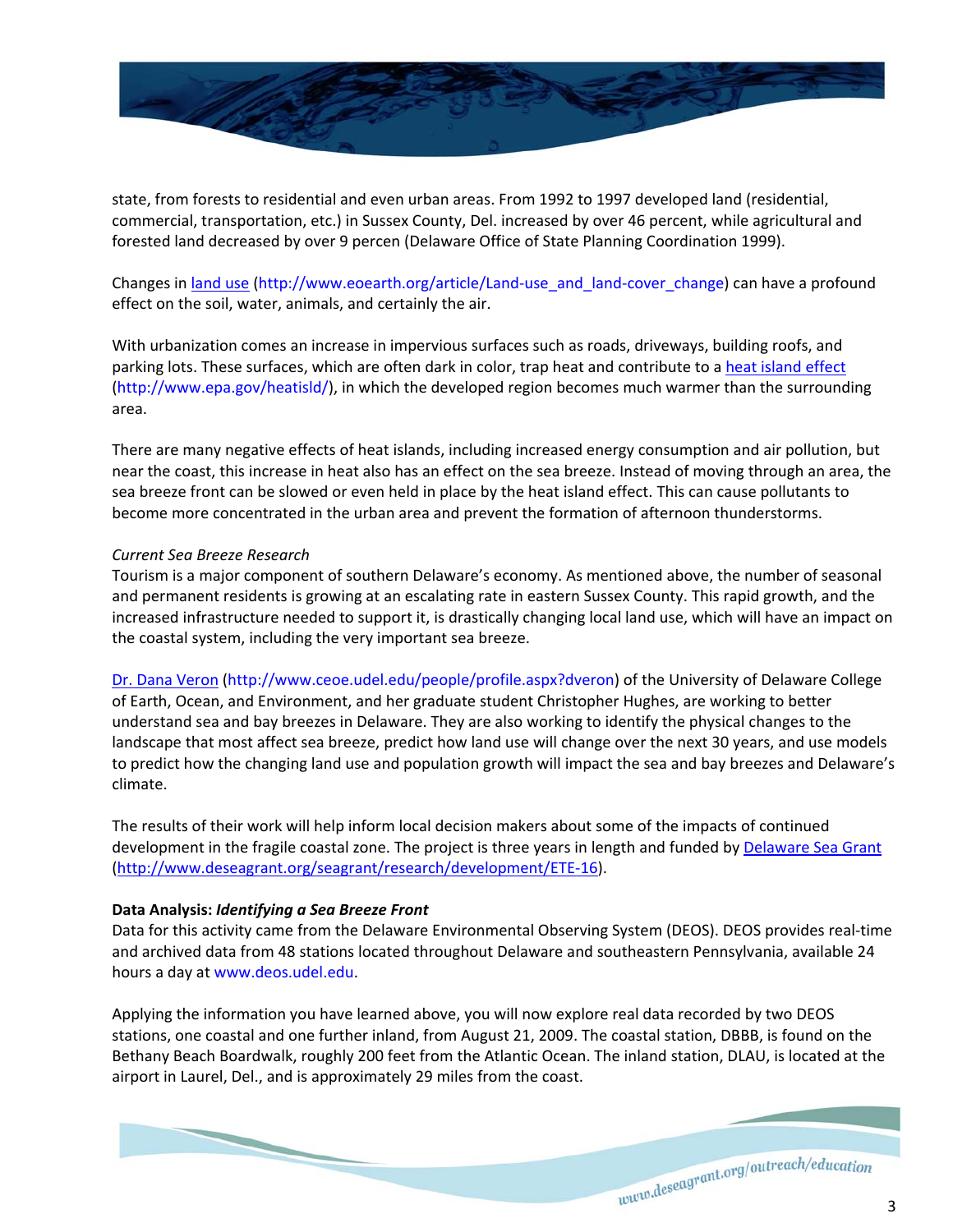

state, from forests to residential and even urban areas. From 1992 to 1997 developed land (residential, commercial, transportation, etc.) in Sussex County, Del. increased by over 46 percent, while agricultural and forested land decreased by over 9 percen (Delaware Office of State Planning Coordination 1999).

Changes in land use (http://www.eoearth.org/article/Land‐use\_and\_land‐cover\_change) can have a profound effect on the soil, water, animals, and certainly the air.

With urbanization comes an increase in impervious surfaces such as roads, driveways, building roofs, and parking lots. These surfaces, which are often dark in color, trap heat and contribute to a heat island effect (http://www.epa.gov/heatisld/), in which the developed region becomes much warmer than the surrounding area.

There are many negative effects of heat islands, including increased energy consumption and air pollution, but near the coast, this increase in heat also has an effect on the sea breeze. Instead of moving through an area, the sea breeze front can be slowed or even held in place by the heat island effect. This can cause pollutants to become more concentrated in the urban area and prevent the formation of afternoon thunderstorms.

## *Current Sea Breeze Research*

Tourism is a major component of southern Delaware's economy. As mentioned above, the number of seasonal and permanent residents is growing at an escalating rate in eastern Sussex County. This rapid growth, and the increased infrastructure needed to support it, is drastically changing local land use, which will have an impact on the coastal system, including the very important sea breeze.

Dr. Dana Veron (http://www.ceoe.udel.edu/people/profile.aspx?dveron) of the University of Delaware College of Earth, Ocean, and Environment, and her graduate student Christopher Hughes, are working to better understand sea and bay breezes in Delaware. They are also working to identify the physical changes to the landscape that most affect sea breeze, predict how land use will change over the next 30 years, and use models to predict how the changing land use and population growth will impact the sea and bay breezes and Delaware's climate.

The results of their work will help inform local decision makers about some of the impacts of continued development in the fragile coastal zone. The project is three years in length and funded by Delaware Sea Grant (http://www.deseagrant.org/seagrant/research/development/ETE‐16).

## **Data Analysis:** *Identifying a Sea Breeze Front*

Data for this activity came from the Delaware Environmental Observing System (DEOS). DEOS provides real‐time and archived data from 48 stations located throughout Delaware and southeastern Pennsylvania, available 24 hours a day at www.deos.udel.edu.

Applying the information you have learned above, you will now explore real data recorded by two DEOS stations, one coastal and one further inland, from August 21, 2009. The coastal station, DBBB, is found on the Bethany Beach Boardwalk, roughly 200 feet from the Atlantic Ocean. The inland station, DLAU, is located at the airport in Laurel, Del., and is approximately 29 miles from the coast.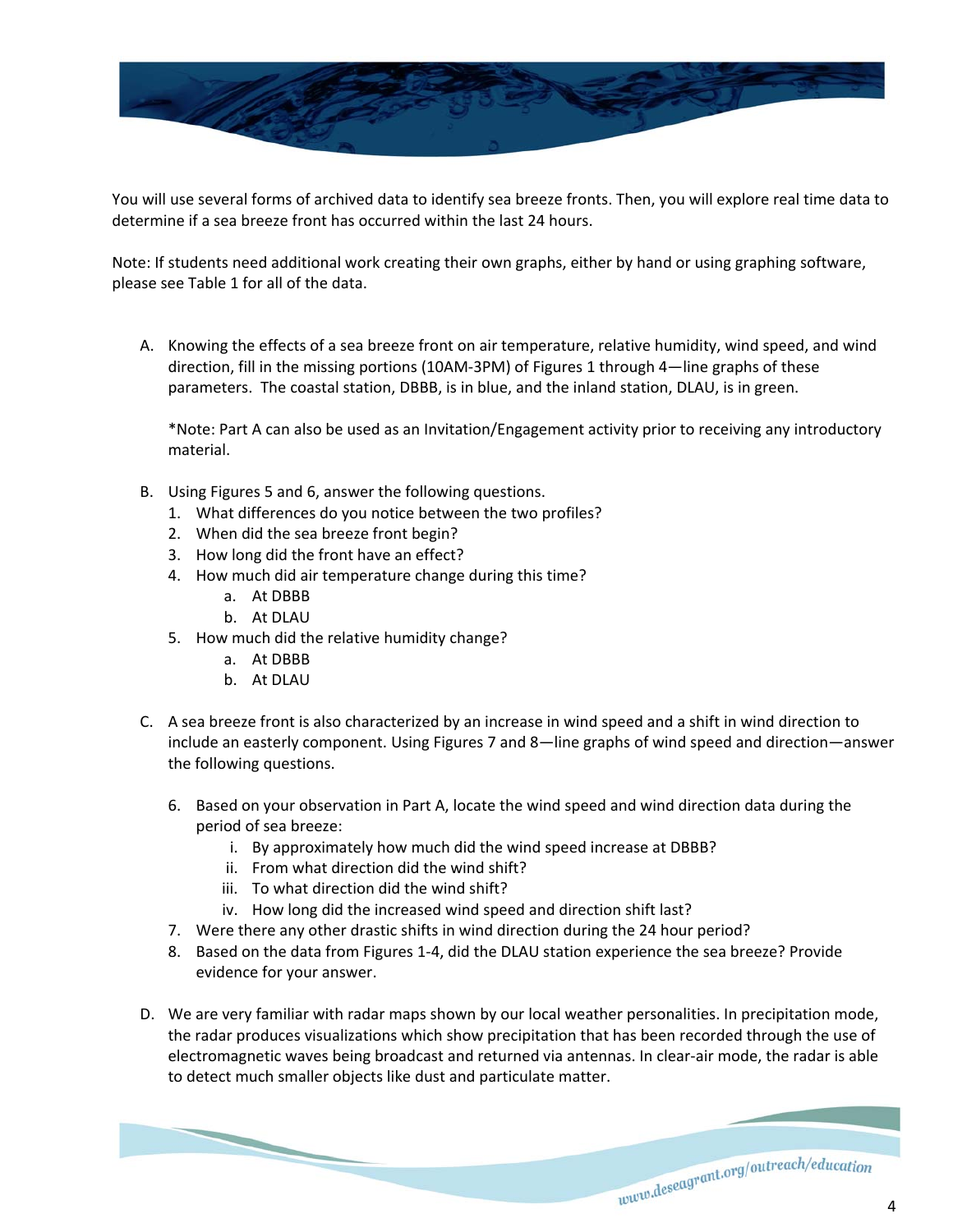

You will use several forms of archived data to identify sea breeze fronts. Then, you will explore real time data to determine if a sea breeze front has occurred within the last 24 hours.

Note: If students need additional work creating their own graphs, either by hand or using graphing software, please see Table 1 for all of the data.

A. Knowing the effects of a sea breeze front on air temperature, relative humidity, wind speed, and wind direction, fill in the missing portions (10AM‐3PM) of Figures 1 through 4—line graphs of these parameters. The coastal station, DBBB, is in blue, and the inland station, DLAU, is in green.

\*Note: Part A can also be used as an Invitation/Engagement activity prior to receiving any introductory material.

- B. Using Figures 5 and 6, answer the following questions.
	- 1. What differences do you notice between the two profiles?
	- 2. When did the sea breeze front begin?
	- 3. How long did the front have an effect?
	- 4. How much did air temperature change during this time?
		- a. At DBBB
		- b. At DLAU
	- 5. How much did the relative humidity change?
		- a. At DBBB
		- b. At DLAU
- C. A sea breeze front is also characterized by an increase in wind speed and a shift in wind direction to include an easterly component. Using Figures 7 and 8—line graphs of wind speed and direction—answer the following questions.
	- 6. Based on your observation in Part A, locate the wind speed and wind direction data during the period of sea breeze:
		- i. By approximately how much did the wind speed increase at DBBB?
		- ii. From what direction did the wind shift?
		- iii. To what direction did the wind shift?

- iv. How long did the increased wind speed and direction shift last?
- 7. Were there any other drastic shifts in wind direction during the 24 hour period?
- 8. Based on the data from Figures 1‐4, did the DLAU station experience the sea breeze? Provide evidence for your answer.
- D. We are very familiar with radar maps shown by our local weather personalities. In precipitation mode, the radar produces visualizations which show precipitation that has been recorded through the use of electromagnetic waves being broadcast and returned via antennas. In clear-air mode, the radar is able to detect much smaller objects like dust and particulate matter.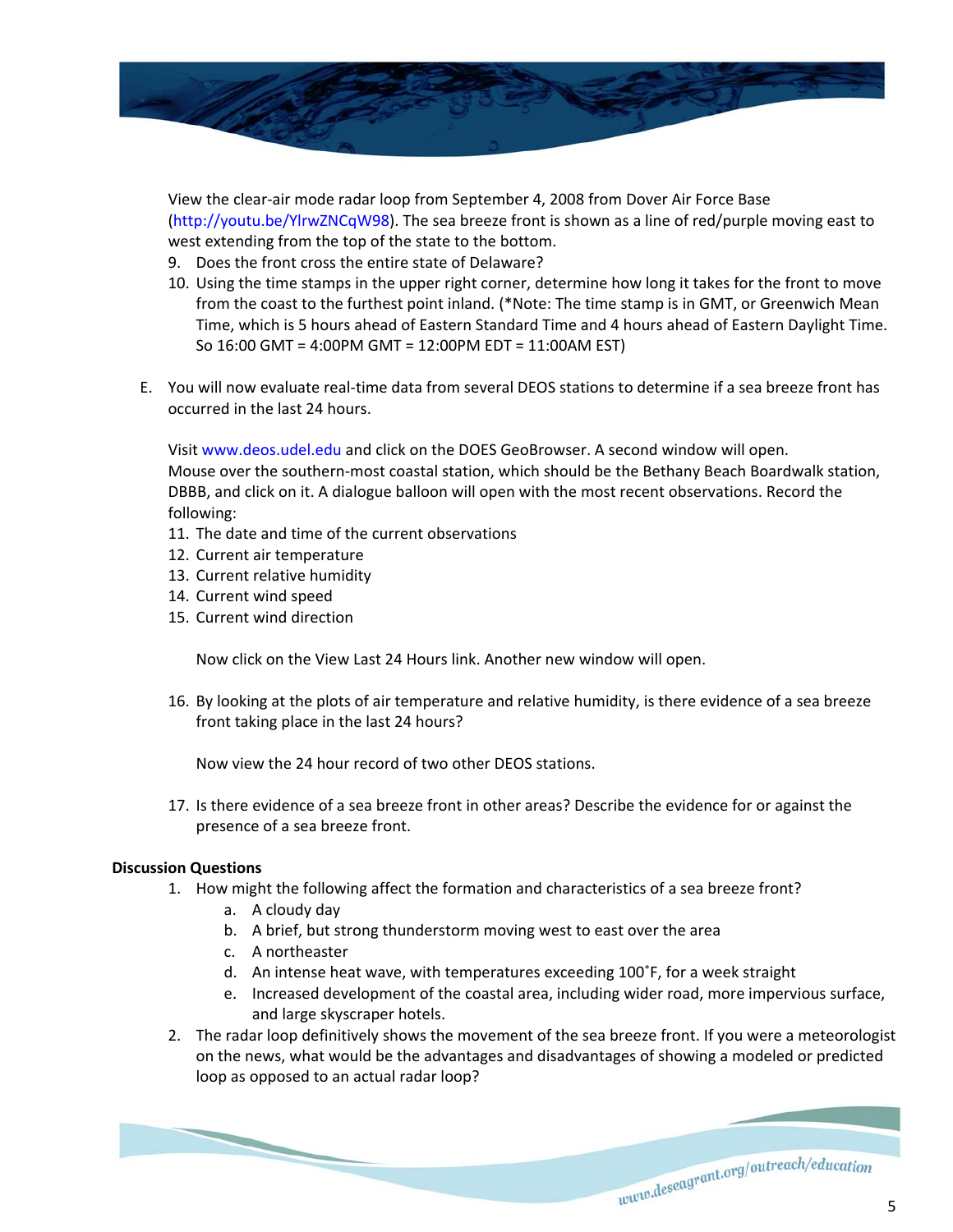

View the clear‐air mode radar loop from September 4, 2008 from Dover Air Force Base (http://youtu.be/YlrwZNCqW98). The sea breeze front is shown as a line of red/purple moving east to west extending from the top of the state to the bottom.

- 9. Does the front cross the entire state of Delaware?
- 10. Using the time stamps in the upper right corner, determine how long it takes for the front to move from the coast to the furthest point inland. (\*Note: The time stamp is in GMT, or Greenwich Mean Time, which is 5 hours ahead of Eastern Standard Time and 4 hours ahead of Eastern Daylight Time. So 16:00 GMT = 4:00PM GMT = 12:00PM EDT = 11:00AM EST)
- E. You will now evaluate real‐time data from several DEOS stations to determine if a sea breeze front has occurred in the last 24 hours.

Visit www.deos.udel.edu and click on the DOES GeoBrowser. A second window will open. Mouse over the southern‐most coastal station, which should be the Bethany Beach Boardwalk station, DBBB, and click on it. A dialogue balloon will open with the most recent observations. Record the

- following:
- 11. The date and time of the current observations
- 12. Current air temperature
- 13. Current relative humidity
- 14. Current wind speed
- 15. Current wind direction

Now click on the View Last 24 Hours link. Another new window will open.

16. By looking at the plots of air temperature and relative humidity, is there evidence of a sea breeze front taking place in the last 24 hours?

Now view the 24 hour record of two other DEOS stations.

17. Is there evidence of a sea breeze front in other areas? Describe the evidence for or against the presence of a sea breeze front.

## **Discussion Questions**

- 1. How might the following affect the formation and characteristics of a sea breeze front?
	- a. A cloudy day
	- b. A brief, but strong thunderstorm moving west to east over the area
	- c. A northeaster

- d. An intense heat wave, with temperatures exceeding 100˚F, for a week straight
- e. Increased development of the coastal area, including wider road, more impervious surface, and large skyscraper hotels.
- 2. The radar loop definitively shows the movement of the sea breeze front. If you were a meteorologist on the news, what would be the advantages and disadvantages of showing a modeled or predicted loop as opposed to an actual radar loop?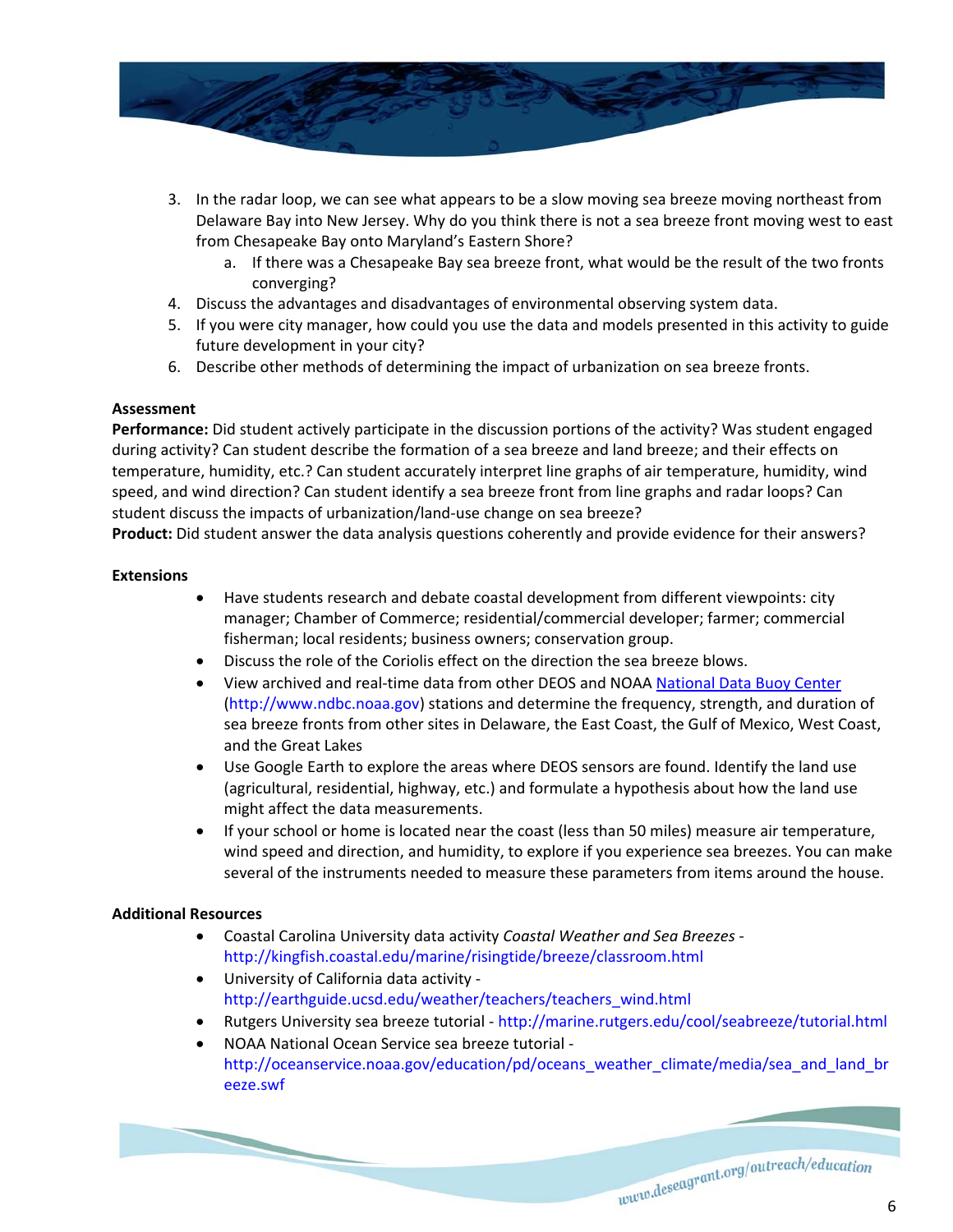

- 3. In the radar loop, we can see what appears to be a slow moving sea breeze moving northeast from Delaware Bay into New Jersey. Why do you think there is not a sea breeze front moving west to east from Chesapeake Bay onto Maryland's Eastern Shore?
	- a. If there was a Chesapeake Bay sea breeze front, what would be the result of the two fronts converging?
- 4. Discuss the advantages and disadvantages of environmental observing system data.
- 5. If you were city manager, how could you use the data and models presented in this activity to guide future development in your city?
- 6. Describe other methods of determining the impact of urbanization on sea breeze fronts.

## **Assessment**

**Performance:** Did student actively participate in the discussion portions of the activity? Was student engaged during activity? Can student describe the formation of a sea breeze and land breeze; and their effects on temperature, humidity, etc.? Can student accurately interpret line graphs of air temperature, humidity, wind speed, and wind direction? Can student identify a sea breeze front from line graphs and radar loops? Can student discuss the impacts of urbanization/land‐use change on sea breeze?

**Product:** Did student answer the data analysis questions coherently and provide evidence for their answers?

## **Extensions**

- Have students research and debate coastal development from different viewpoints: city manager; Chamber of Commerce; residential/commercial developer; farmer; commercial fisherman; local residents; business owners; conservation group.
- Discuss the role of the Coriolis effect on the direction the sea breeze blows.
- View archived and real-time data from other DEOS and NOAA National Data Buoy Center (http://www.ndbc.noaa.gov) stations and determine the frequency, strength, and duration of sea breeze fronts from other sites in Delaware, the East Coast, the Gulf of Mexico, West Coast, and the Great Lakes
- Use Google Earth to explore the areas where DEOS sensors are found. Identify the land use (agricultural, residential, highway, etc.) and formulate a hypothesis about how the land use might affect the data measurements.
- If your school or home is located near the coast (less than 50 miles) measure air temperature, wind speed and direction, and humidity, to explore if you experience sea breezes. You can make several of the instruments needed to measure these parameters from items around the house.

## **Additional Resources**

- Coastal Carolina University data activity *Coastal Weather and Sea Breezes* ‐ http://kingfish.coastal.edu/marine/risingtide/breeze/classroom.html
- University of California data activity ‐ http://earthguide.ucsd.edu/weather/teachers/teachers\_wind.html
- Rutgers University sea breeze tutorial http://marine.rutgers.edu/cool/seabreeze/tutorial.html
- NOAA National Ocean Service sea breeze tutorial ‐ http://oceanservice.noaa.gov/education/pd/oceans\_weather\_climate/media/sea\_and\_land\_br eeze.swf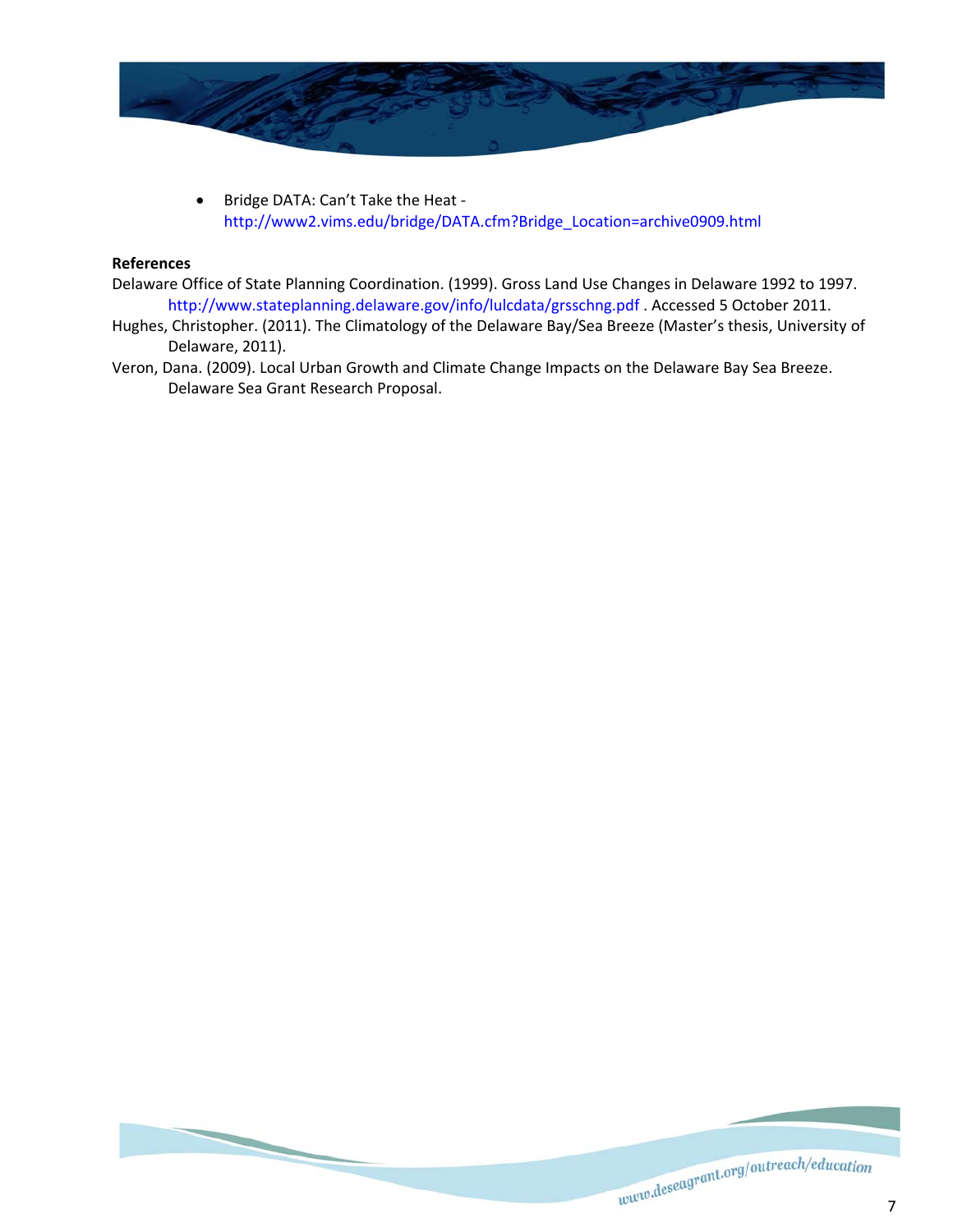

 Bridge DATA: Can't Take the Heat ‐ http://www2.vims.edu/bridge/DATA.cfm?Bridge\_Location=archive0909.html

## **References**

- Delaware Office of State Planning Coordination. (1999). Gross Land Use Changes in Delaware 1992 to 1997. http://www.stateplanning.delaware.gov/info/lulcdata/grsschng.pdf . Accessed 5 October 2011.
- Hughes, Christopher. (2011). The Climatology of the Delaware Bay/Sea Breeze (Master's thesis, University of Delaware, 2011).
- Veron, Dana. (2009). Local Urban Growth and Climate Change Impacts on the Delaware Bay Sea Breeze. Delaware Sea Grant Research Proposal.

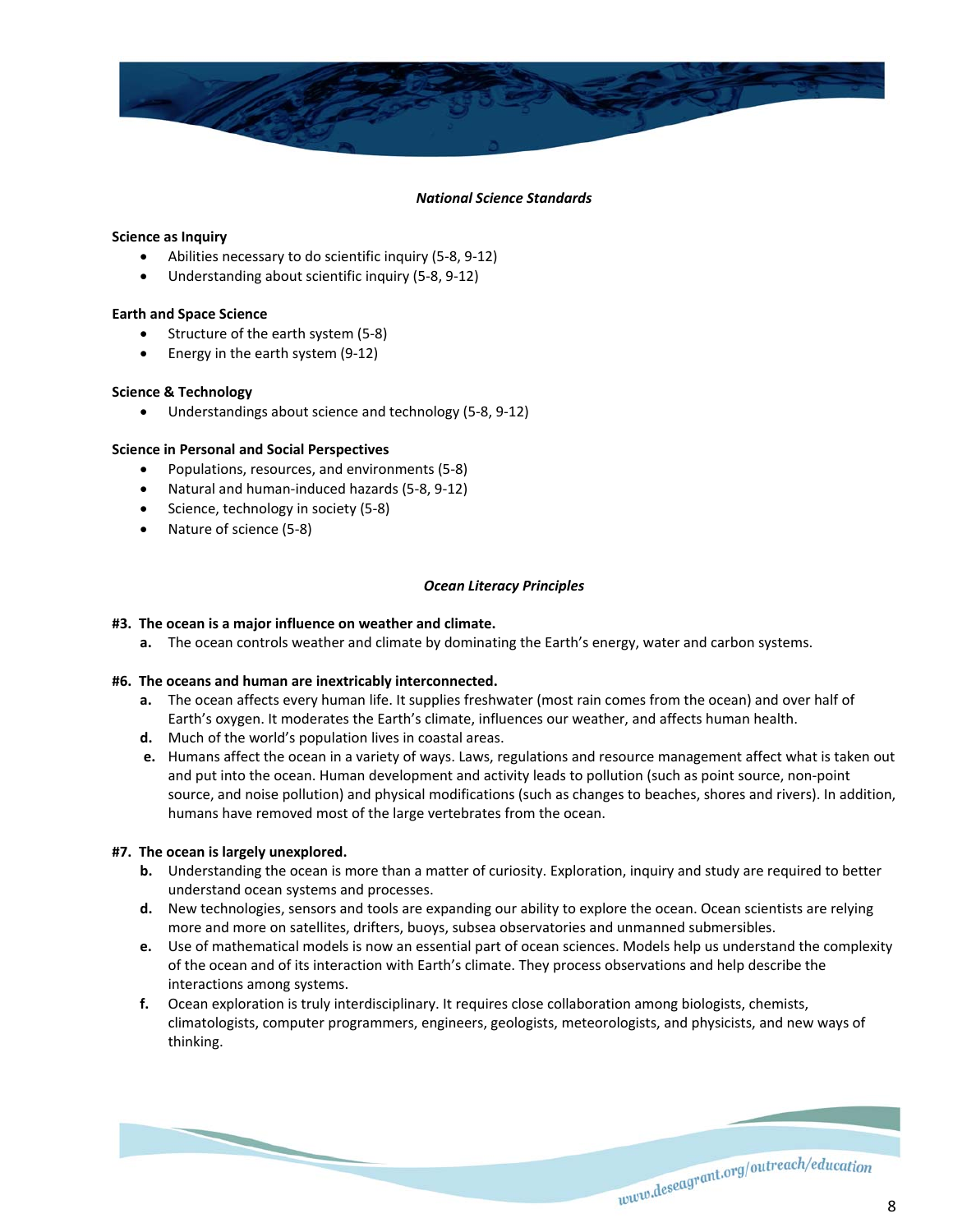

#### *National Science Standards*

#### **Science as Inquiry**

- Abilities necessary to do scientific inquiry (5‐8, 9‐12)
- Understanding about scientific inquiry (5‐8, 9‐12)

#### **Earth and Space Science**

- Structure of the earth system (5-8)
- Energy in the earth system (9-12)

#### **Science & Technology**

Understandings about science and technology (5‐8, 9‐12)

#### **Science in Personal and Social Perspectives**

- Populations, resources, and environments (5-8)
- Natural and human‐induced hazards (5‐8, 9‐12)
- Science, technology in society (5-8)
- Nature of science (5-8)

#### *Ocean Literacy Principles*

#### **#3. The ocean is a major influence on weather and climate.**

**a.** The ocean controls weather and climate by dominating the Earth's energy, water and carbon systems.

#### **#6. The oceans and human are inextricably interconnected.**

- **a.** The ocean affects every human life. It supplies freshwater (most rain comes from the ocean) and over half of Earth's oxygen. It moderates the Earth's climate, influences our weather, and affects human health.
- **d.** Much of the world's population lives in coastal areas.
- **e.** Humans affect the ocean in a variety of ways. Laws, regulations and resource management affect what is taken out and put into the ocean. Human development and activity leads to pollution (such as point source, non‐point source, and noise pollution) and physical modifications (such as changes to beaches, shores and rivers). In addition, humans have removed most of the large vertebrates from the ocean.

#### **#7. The ocean is largely unexplored.**

- **b.** Understanding the ocean is more than a matter of curiosity. Exploration, inquiry and study are required to better understand ocean systems and processes.
- **d.** New technologies, sensors and tools are expanding our ability to explore the ocean. Ocean scientists are relying more and more on satellites, drifters, buoys, subsea observatories and unmanned submersibles.
- **e.** Use of mathematical models is now an essential part of ocean sciences. Models help us understand the complexity of the ocean and of its interaction with Earth's climate. They process observations and help describe the interactions among systems.
- **f.** Ocean exploration is truly interdisciplinary. It requires close collaboration among biologists, chemists, climatologists, computer programmers, engineers, geologists, meteorologists, and physicists, and new ways of thinking.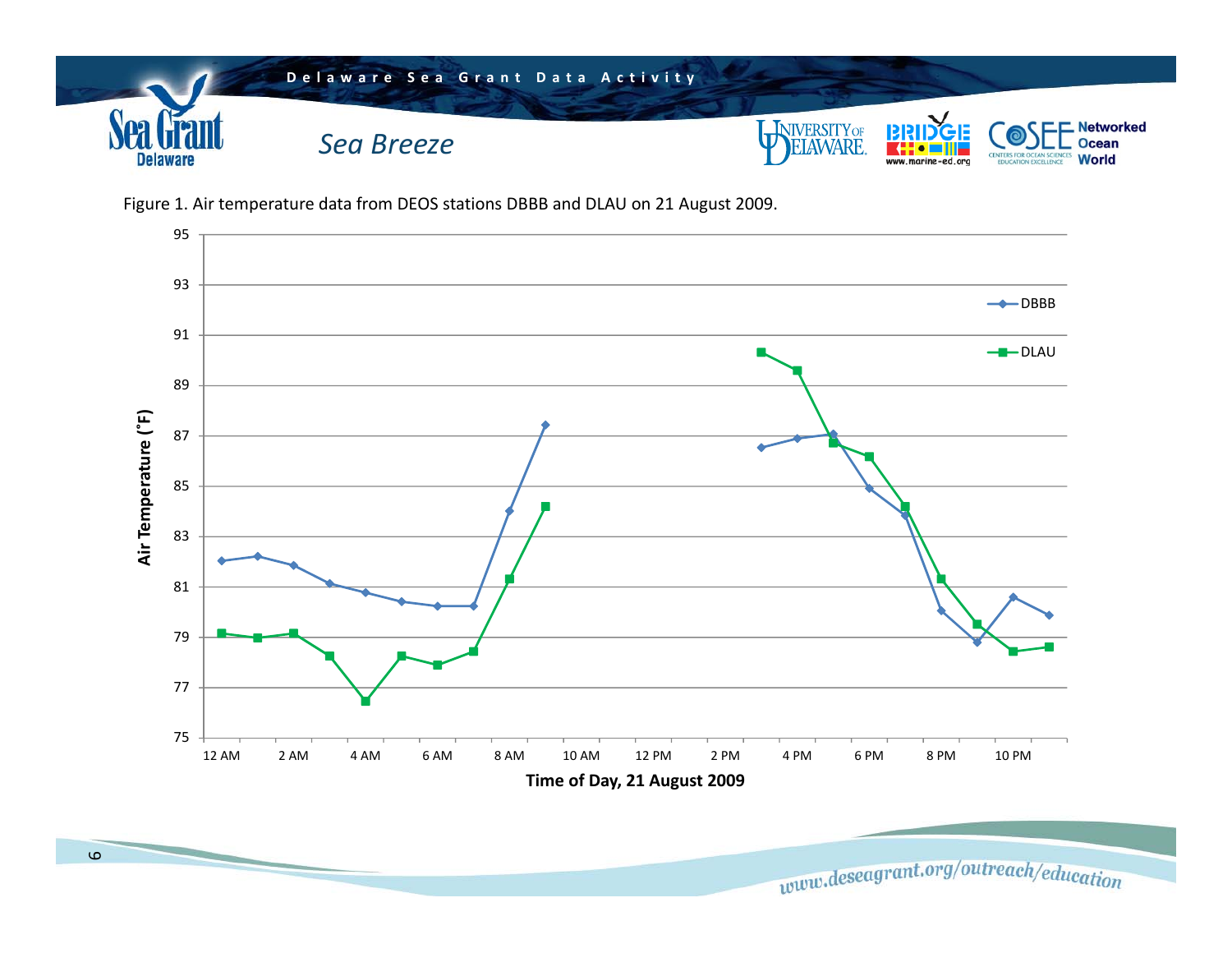





www.deseagrant.org/outreach/education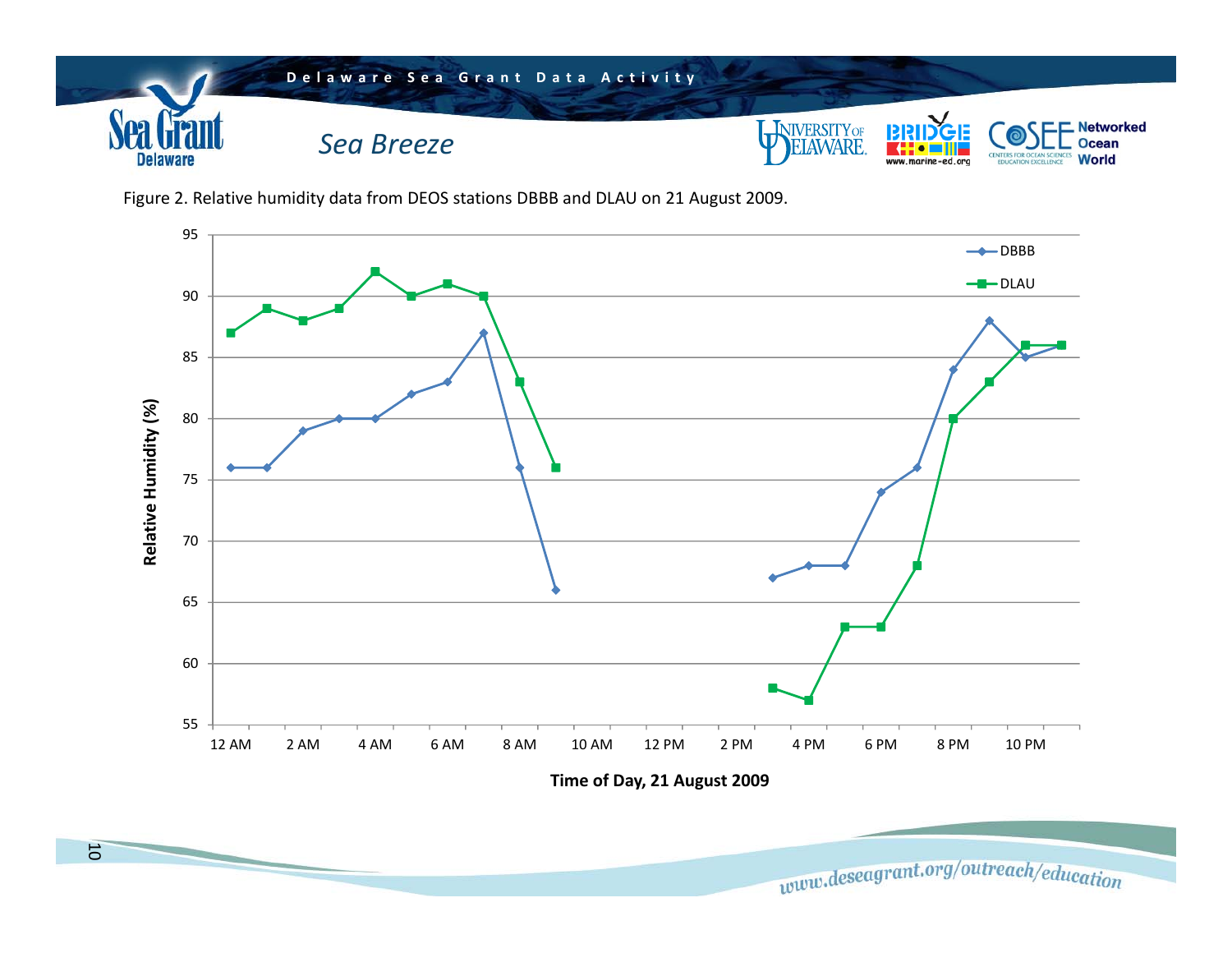

Figure 2. Relative humidity data from DEOS stations DBBB and DLAU on 21 August 2009.



**Time of Day, 21 August 2009**

www.deseagrant.org/outreach/education

10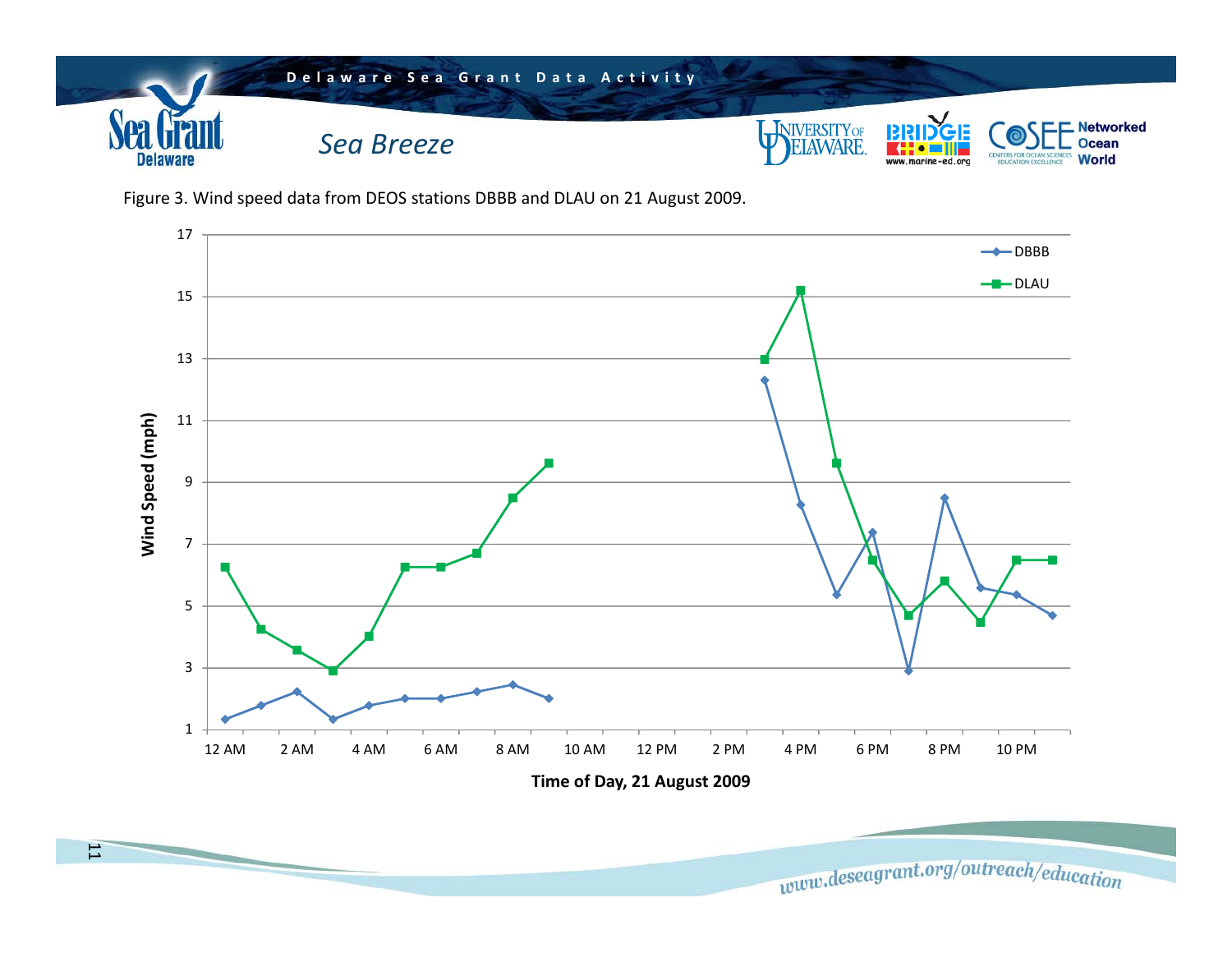

Figure 3. Wind speed data from DEOS stations DBBB and DLAU on 21 August 2009.



www.deseagrant.org/outreach/education

11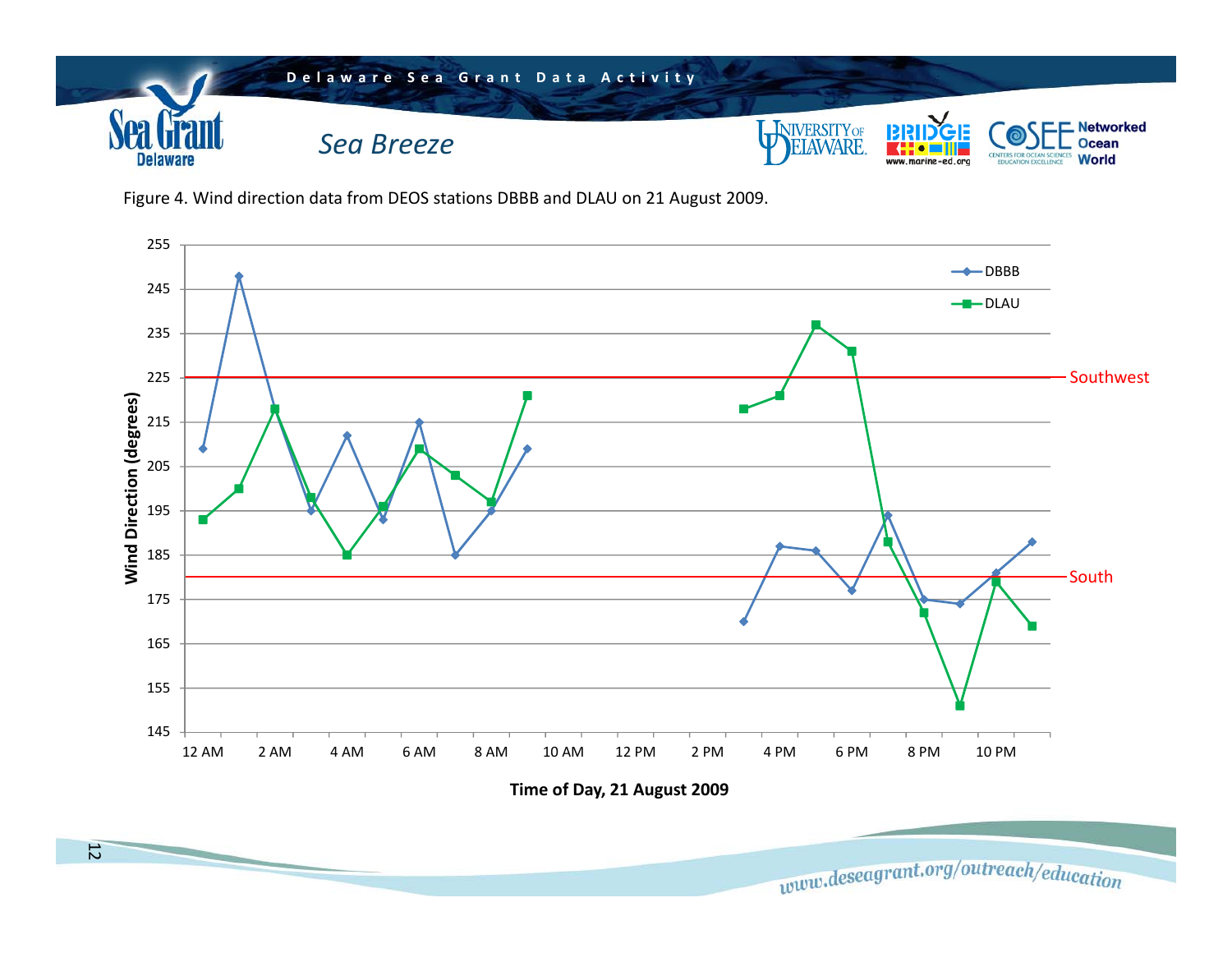

Figure 4. Wind direction data from DEOS stations DBBB and DLAU on 21 August 2009.

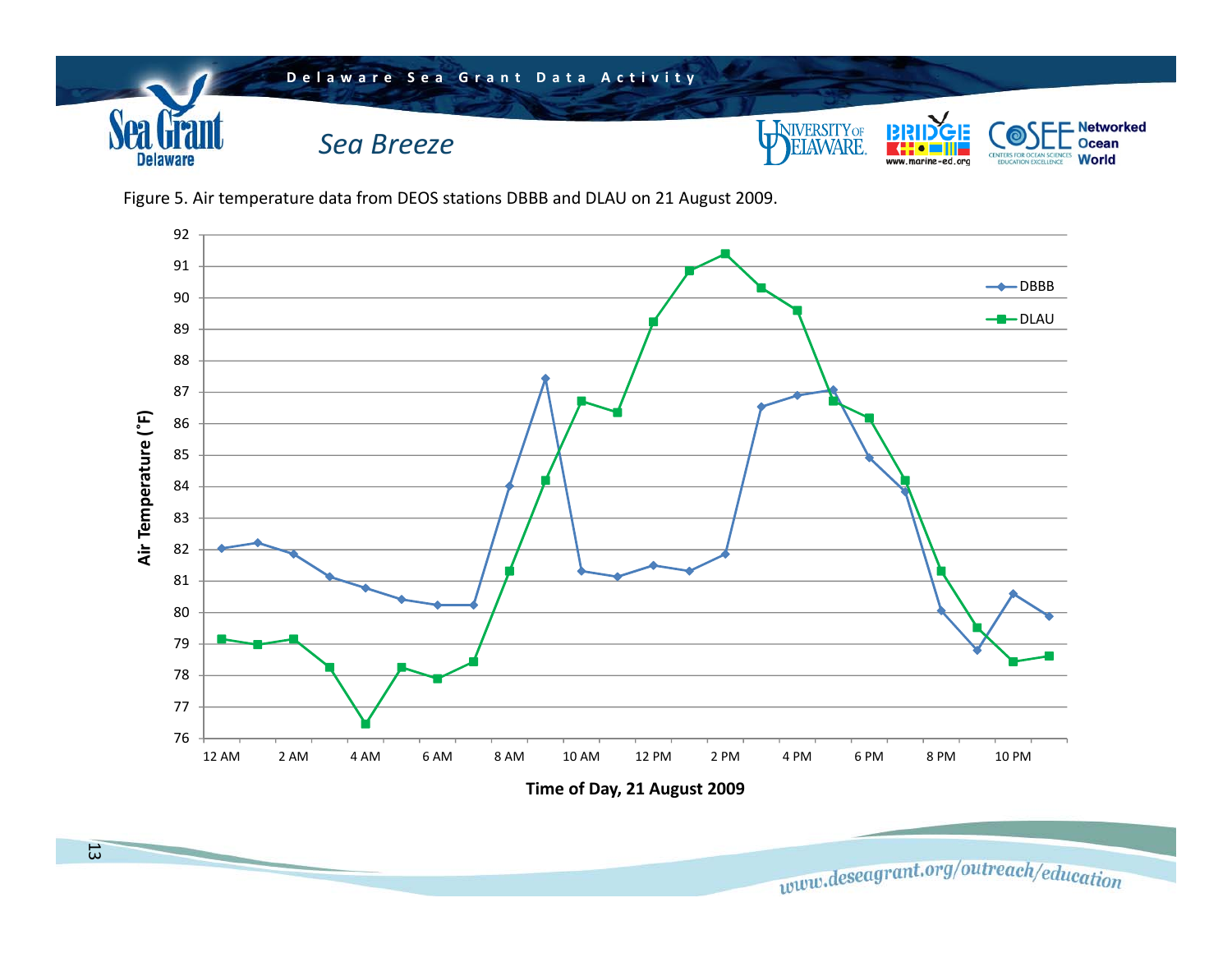

Figure 5. Air temperature data from DEOS stations DBBB and DLAU on 21 August 2009.



www.deseagrant.org/outreach/education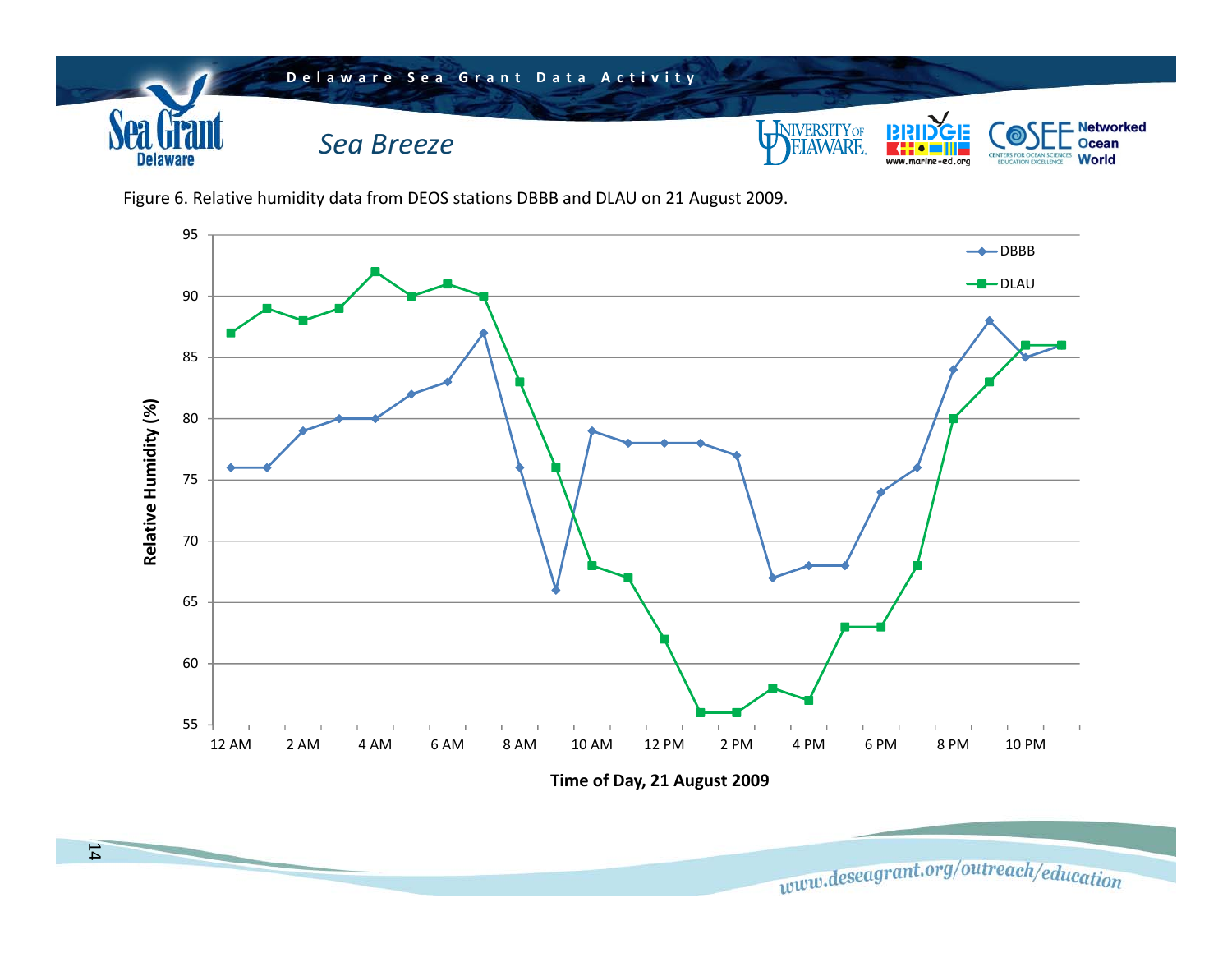

Figure 6. Relative humidity data from DEOS stations DBBB and DLAU on 21 August 2009.



**Time of Day, 21 August 2009**

www.deseagrant.org/outreach/education

14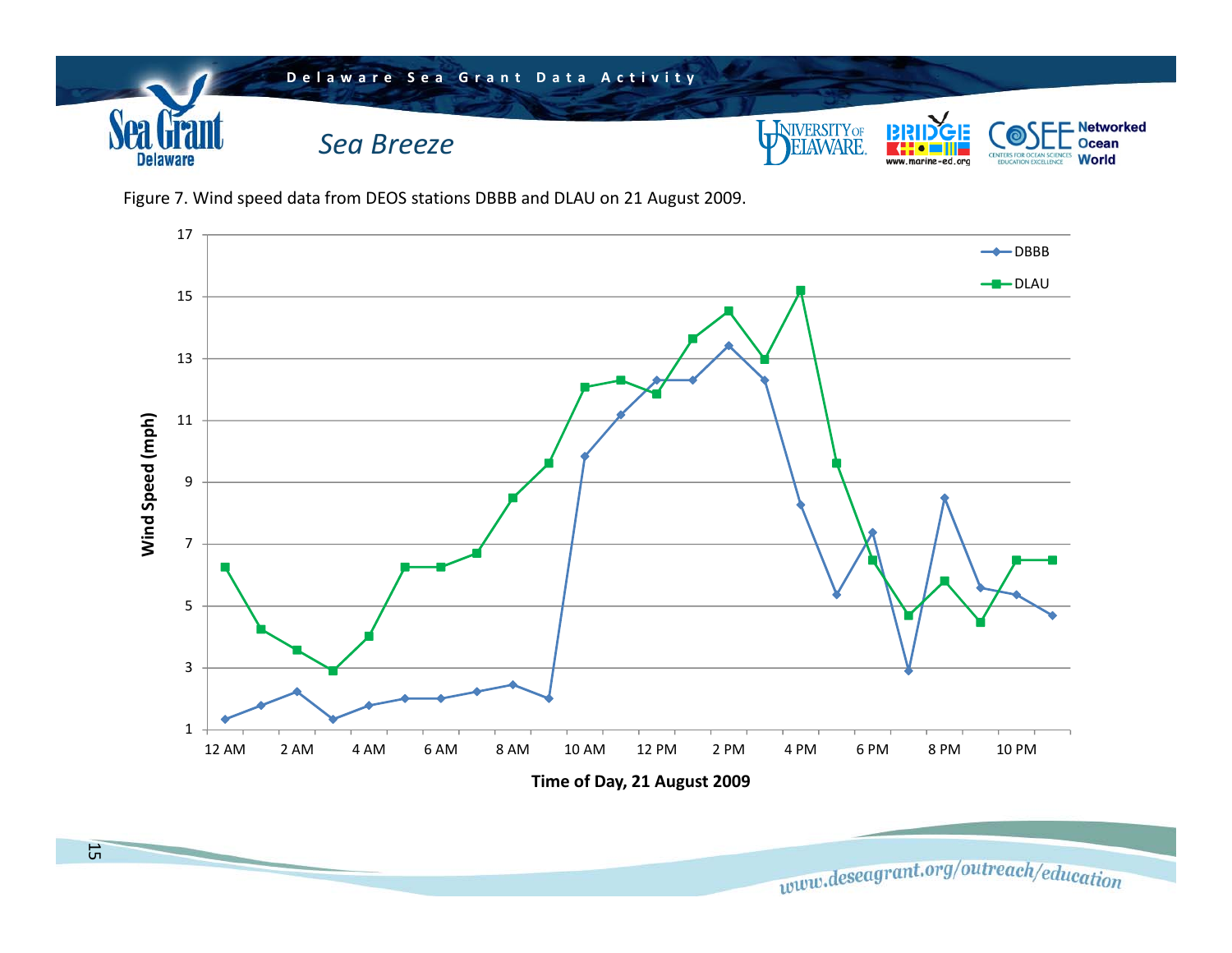

Figure 7. Wind speed data from DEOS stations DBBB and DLAU on 21 August 2009.



www.deseagrant.org/outreach/education

15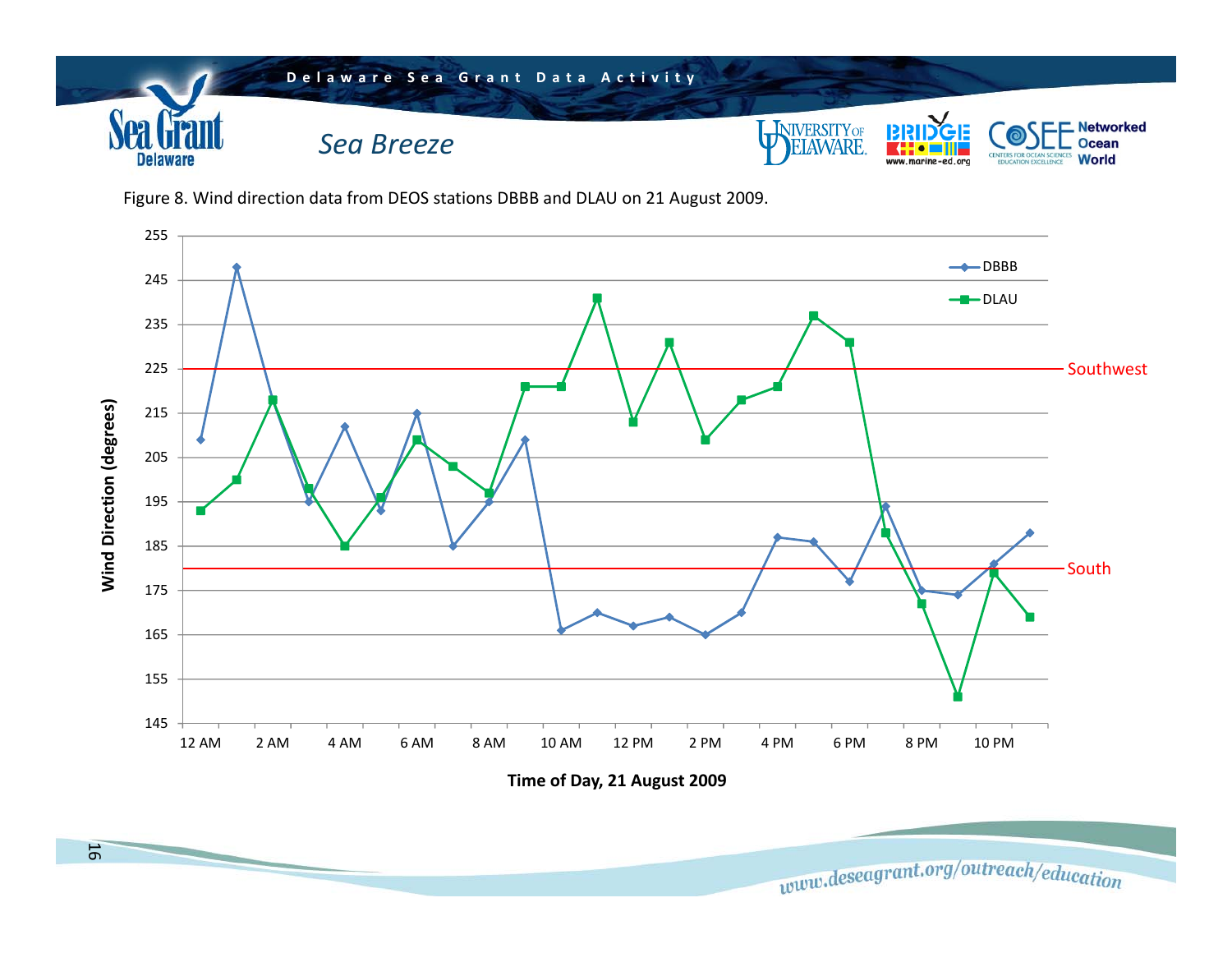

Figure 8. Wind direction data from DEOS stations DBBB and DLAU on 21 August 2009.



www.deseagrant.org/outreach/education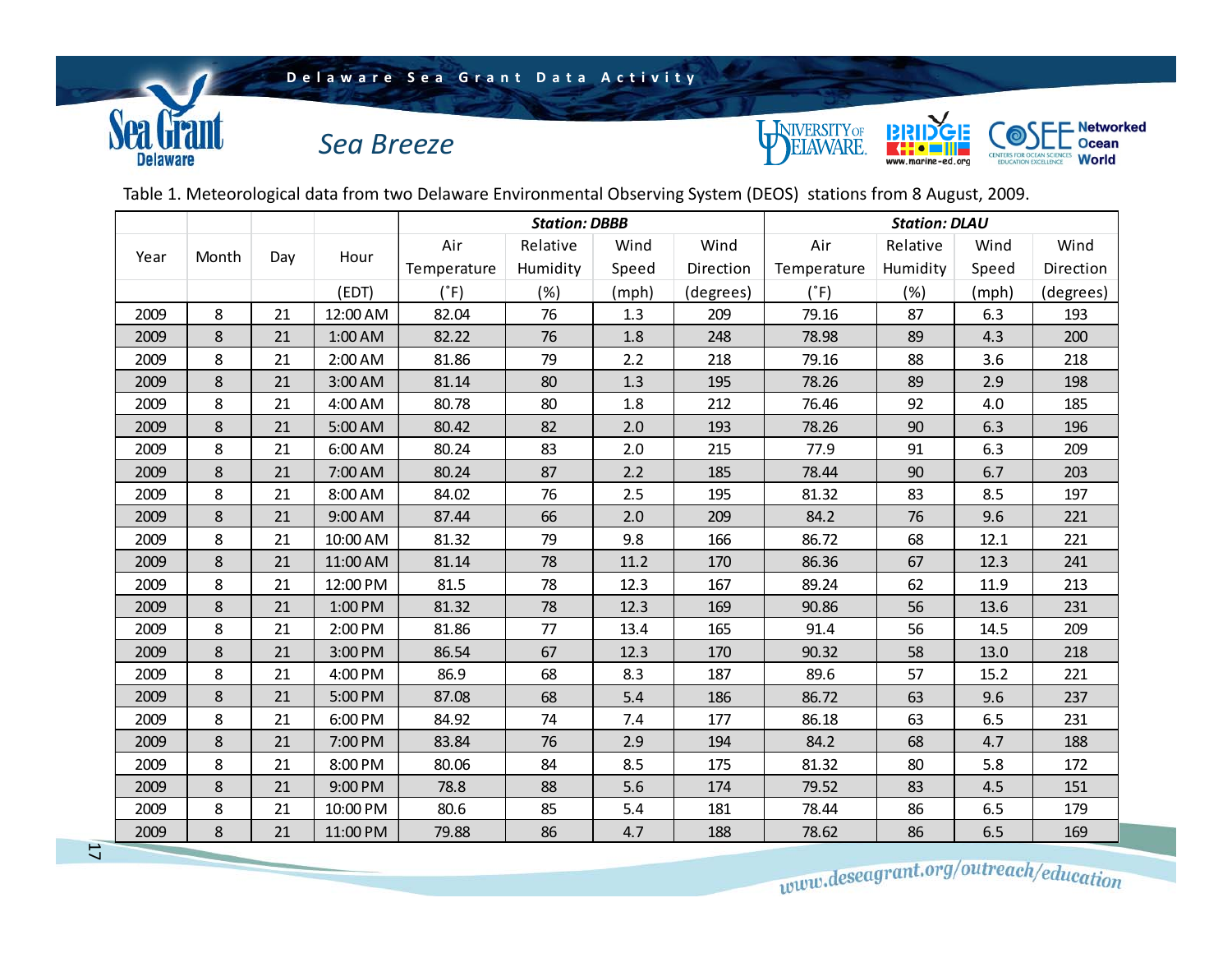## **Delaware Sea Grant Data Activity**

*Sea Breeze*





Table 1. Meteorological data from two Delaware Environmental Observing System (DEOS) stations from 8 August, 2009.

|               |                                                  |      |             | <b>Station: DBBB</b> |          |           |             | <b>Station: DLAU</b> |          |           |           |  |
|---------------|--------------------------------------------------|------|-------------|----------------------|----------|-----------|-------------|----------------------|----------|-----------|-----------|--|
| Month<br>Year |                                                  |      |             | Air                  | Relative | Wind      | Wind        | Air                  | Relative | Wind      | Wind      |  |
|               | Day                                              | Hour | Temperature | Humidity             | Speed    | Direction | Temperature | Humidity             | Speed    | Direction |           |  |
|               |                                                  |      | (EDT)       | $(^{\circ}F)$        | (%)      | (mph)     | (degrees)   | $(^{\circ}F)$        | (%)      | (mph)     | (degrees) |  |
| 2009          | 8                                                | 21   | 12:00 AM    | 82.04                | 76       | 1.3       | 209         | 79.16                | 87       | 6.3       | 193       |  |
| 2009          | 8                                                | 21   | 1:00 AM     | 82.22                | 76       | 1.8       | 248         | 78.98                | 89       | 4.3       | 200       |  |
| 2009          | 8                                                | 21   | 2:00 AM     | 81.86                | 79       | 2.2       | 218         | 79.16                | 88       | 3.6       | 218       |  |
| 2009          | 8                                                | 21   | 3:00 AM     | 81.14                | 80       | 1.3       | 195         | 78.26                | 89       | 2.9       | 198       |  |
| 2009          | 8                                                | 21   | 4:00 AM     | 80.78                | 80       | 1.8       | 212         | 76.46                | 92       | 4.0       | 185       |  |
| 2009          | 8                                                | 21   | 5:00 AM     | 80.42                | 82       | 2.0       | 193         | 78.26                | 90       | 6.3       | 196       |  |
| 2009          | 8                                                | 21   | 6:00 AM     | 80.24                | 83       | 2.0       | 215         | 77.9                 | 91       | 6.3       | 209       |  |
| 2009          | 8                                                | 21   | 7:00 AM     | 80.24                | 87       | 2.2       | 185         | 78.44                | 90       | 6.7       | 203       |  |
| 2009          | 8                                                | 21   | 8:00 AM     | 84.02                | 76       | 2.5       | 195         | 81.32                | 83       | 8.5       | 197       |  |
| 2009          | 8                                                | 21   | 9:00 AM     | 87.44                | 66       | 2.0       | 209         | 84.2                 | 76       | 9.6       | 221       |  |
| 2009          | 8                                                | 21   | 10:00 AM    | 81.32                | 79       | 9.8       | 166         | 86.72                | 68       | 12.1      | 221       |  |
| 2009          | 8                                                | 21   | 11:00 AM    | 81.14                | 78       | 11.2      | 170         | 86.36                | 67       | 12.3      | 241       |  |
| 2009          | 8                                                | 21   | 12:00 PM    | 81.5                 | 78       | 12.3      | 167         | 89.24                | 62       | 11.9      | 213       |  |
| 2009          | 8                                                | 21   | 1:00 PM     | 81.32                | 78       | 12.3      | 169         | 90.86                | 56       | 13.6      | 231       |  |
| 2009          | 8                                                | 21   | 2:00 PM     | 81.86                | 77       | 13.4      | 165         | 91.4                 | 56       | 14.5      | 209       |  |
| 2009          | 8                                                | 21   | 3:00 PM     | 86.54                | 67       | 12.3      | 170         | 90.32                | 58       | 13.0      | 218       |  |
| 2009          | 8                                                | 21   | 4:00 PM     | 86.9                 | 68       | 8.3       | 187         | 89.6                 | 57       | 15.2      | 221       |  |
| 2009          | 8                                                | 21   | 5:00 PM     | 87.08                | 68       | 5.4       | 186         | 86.72                | 63       | 9.6       | 237       |  |
| 2009          | 8                                                | 21   | 6:00 PM     | 84.92                | 74       | 7.4       | 177         | 86.18                | 63       | 6.5       | 231       |  |
| 2009          | 8                                                | 21   | 7:00 PM     | 83.84                | 76       | 2.9       | 194         | 84.2                 | 68       | 4.7       | 188       |  |
| 2009          | 8                                                | 21   | 8:00 PM     | 80.06                | 84       | 8.5       | 175         | 81.32                | 80       | 5.8       | 172       |  |
| 2009          | 8                                                | 21   | 9:00 PM     | 78.8                 | 88       | 5.6       | 174         | 79.52                | 83       | 4.5       | 151       |  |
| 2009          | 8                                                | 21   | 10:00 PM    | 80.6                 | 85       | 5.4       | 181         | 78.44                | 86       | 6.5       | 179       |  |
| 2009          | 8                                                | 21   | 11:00 PM    | 79.88                | 86       | 4.7       | 188         | 78.62                | 86       | 6.5       | 169       |  |
|               | $A$ <sub>osea</sub> grant.org/outreach/education |      |             |                      |          |           |             |                      |          |           |           |  |
|               |                                                  |      |             |                      |          |           |             |                      |          |           |           |  |

www.deseagrant.org/outreach/education

17

*<u>Coa Cran</u>* 

**Delaware**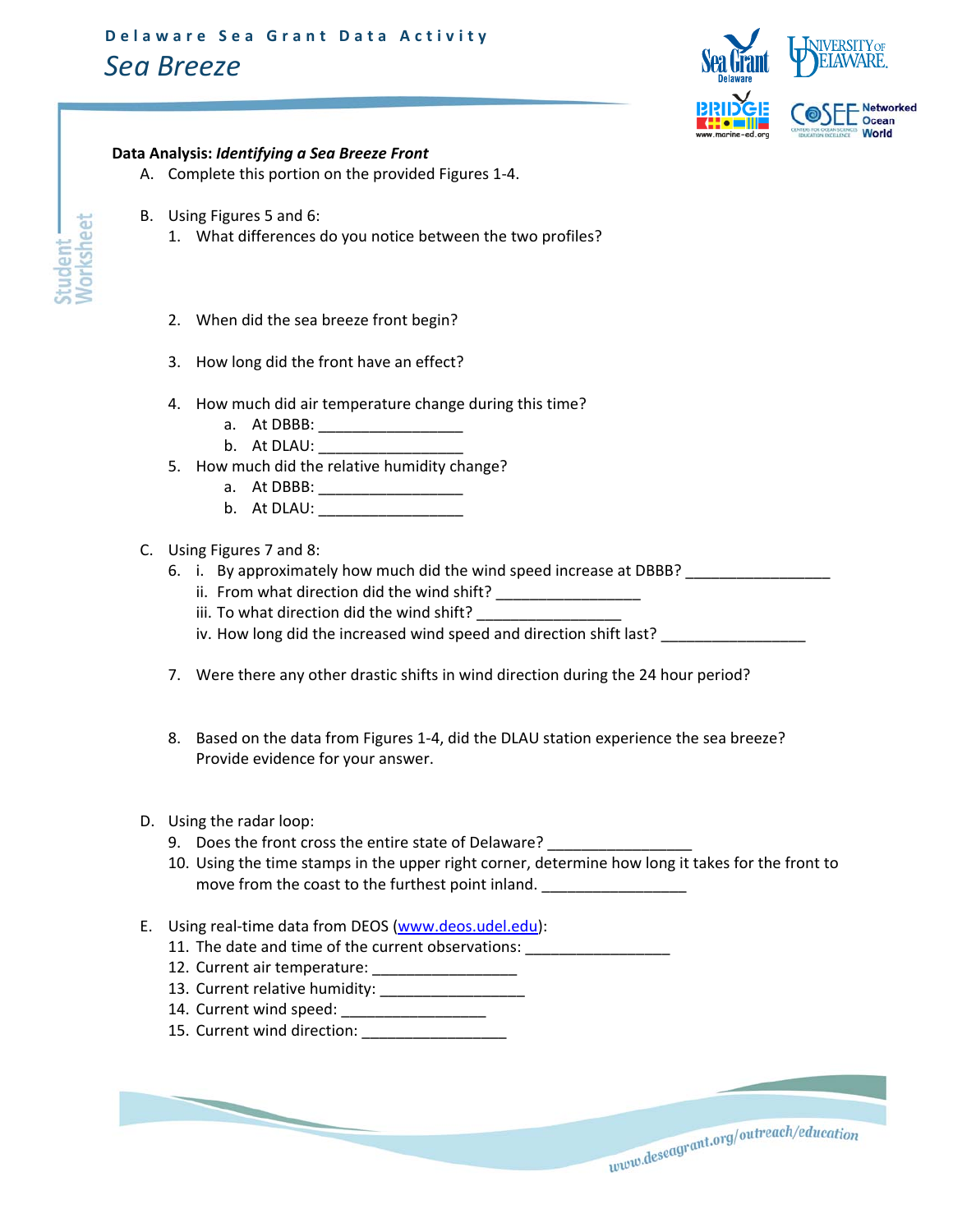

## **Data Analysis:** *Identifying a Sea Breeze Front*

- A. Complete this portion on the provided Figures 1‐4.
- B. Using Figures 5 and 6:
	- 1. What differences do you notice between the two profiles?
	- 2. When did the sea breeze front begin?
	- 3. How long did the front have an effect?
	- 4. How much did air temperature change during this time?
		- a. At DBBB: \_\_\_\_\_\_\_\_\_\_\_\_\_\_\_\_\_\_\_
		- b. At DLAU:
	- 5. How much did the relative humidity change?
		- a. At DBBB: \_\_\_\_\_\_\_\_\_\_\_\_\_\_\_\_\_
		- b. At DLAU:
- C. Using Figures 7 and 8:
	- 6. i. By approximately how much did the wind speed increase at DBBB? \_\_\_\_\_\_\_\_\_\_\_\_\_\_\_\_\_
		- ii. From what direction did the wind shift? \_\_\_\_\_\_\_\_\_\_\_\_\_\_\_\_\_
		- iii. To what direction did the wind shift?
		- iv. How long did the increased wind speed and direction shift last?
	- 7. Were there any other drastic shifts in wind direction during the 24 hour period?
	- 8. Based on the data from Figures 1-4, did the DLAU station experience the sea breeze? Provide evidence for your answer.
- D. Using the radar loop:
	- 9. Does the front cross the entire state of Delaware?
	- 10. Using the time stamps in the upper right corner, determine how long it takes for the front to move from the coast to the furthest point inland. \_\_\_\_\_\_\_\_\_\_\_\_\_\_\_\_\_\_\_\_\_\_\_\_\_\_\_\_\_\_
- E. Using real‐time data from DEOS (www.deos.udel.edu):
	- 11. The date and time of the current observations:
	- 12. Current air temperature: \_\_\_\_\_\_\_\_\_\_\_\_\_\_\_\_\_
	- 13. Current relative humidity: \_\_\_\_\_\_\_\_\_\_\_\_\_\_\_\_\_
	- 14. Current wind speed:

15. Current wind direction: \_\_\_\_\_\_\_\_\_\_\_\_\_\_\_\_\_

www.deseagrant.org/outreach/education

*Worksheet* orksheet udent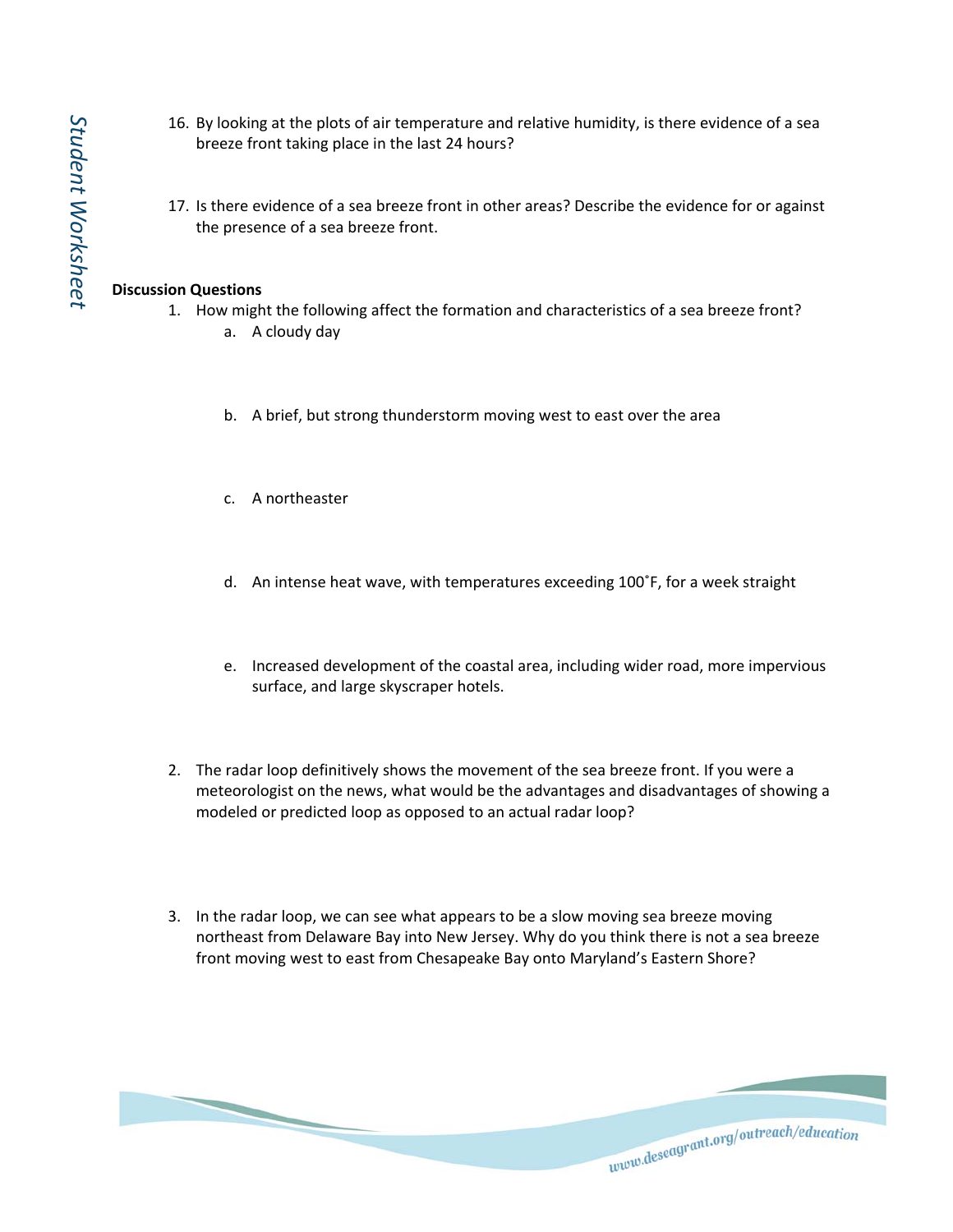- 16. By looking at the plots of air temperature and relative humidity, is there evidence of a sea breeze front taking place in the last 24 hours?
- 17. Is there evidence of a sea breeze front in other areas? Describe the evidence for or against the presence of a sea breeze front.

## **Discussion Questions**

- 1. How might the following affect the formation and characteristics of a sea breeze front?
	- a. A cloudy day
	- b. A brief, but strong thunderstorm moving west to east over the area
	- c. A northeaster
	- d. An intense heat wave, with temperatures exceeding 100˚F, for a week straight
	- e. Increased development of the coastal area, including wider road, more impervious surface, and large skyscraper hotels.
- 2. The radar loop definitively shows the movement of the sea breeze front. If you were a meteorologist on the news, what would be the advantages and disadvantages of showing a modeled or predicted loop as opposed to an actual radar loop?
- 3. In the radar loop, we can see what appears to be a slow moving sea breeze moving northeast from Delaware Bay into New Jersey. Why do you think there is not a sea breeze front moving west to east from Chesapeake Bay onto Maryland's Eastern Shore?